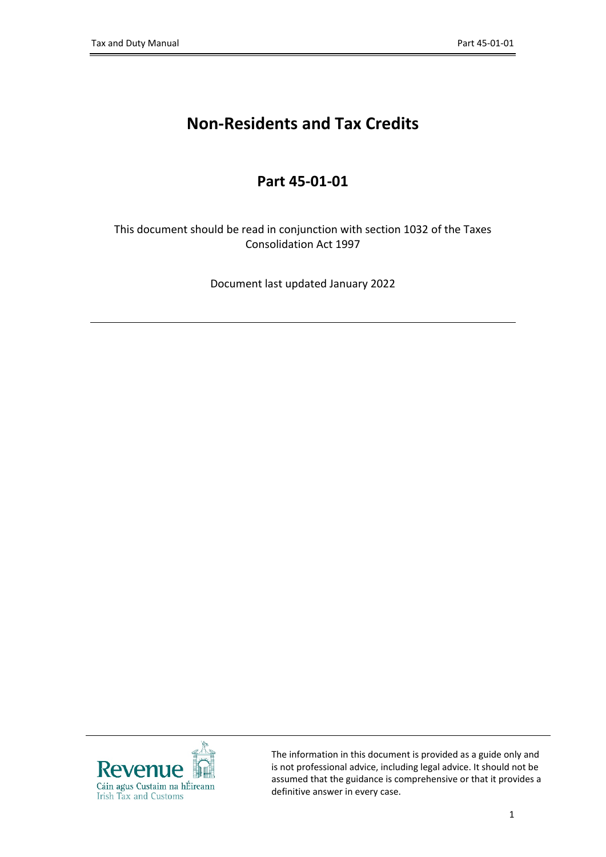# **Non-Residents and Tax Credits**

## **Part 45-01-01**

This document should be read in conjunction with section 1032 of the Taxes Consolidation Act 1997

Document last updated January 2022



The information in this document is provided as a guide only and is not professional advice, including legal advice. It should not be assumed that the guidance is comprehensive or that it provides a definitive answer in every case.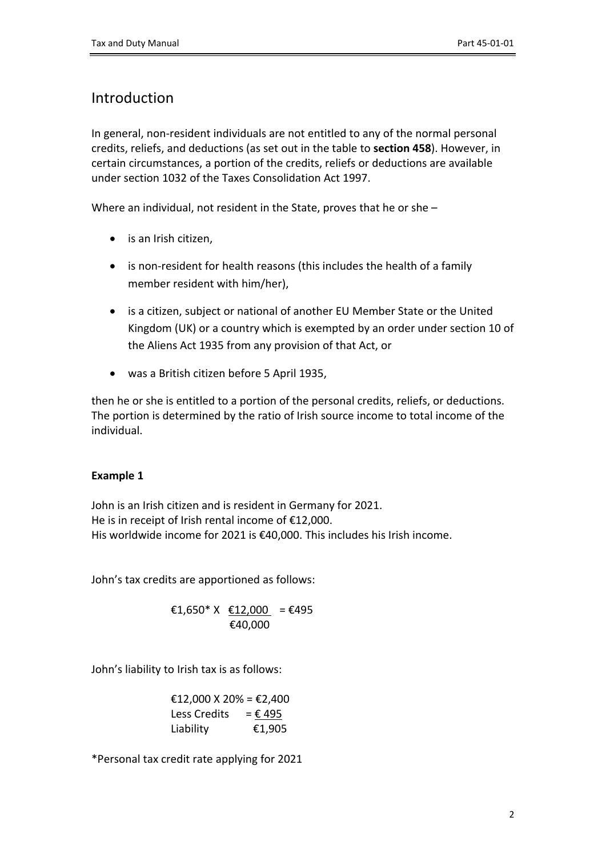## Introduction

In general, non-resident individuals are not entitled to any of the normal personal credits, reliefs, and deductions (as set out in the table to **section 458**). However, in certain circumstances, a portion of the credits, reliefs or deductions are available under section 1032 of the Taxes Consolidation Act 1997.

Where an individual, not resident in the State, proves that he or she –

- is an Irish citizen,
- is non-resident for health reasons (this includes the health of a family member resident with him/her),
- is a citizen, subject or national of another EU Member State or the United Kingdom (UK) or a country which is exempted by an order under section 10 of the Aliens Act 1935 from any provision of that Act, or
- was a British citizen before 5 April 1935,

then he or she is entitled to a portion of the personal credits, reliefs, or deductions. The portion is determined by the ratio of Irish source income to total income of the individual.

### **Example 1**

John is an Irish citizen and is resident in Germany for 2021. He is in receipt of Irish rental income of €12,000. His worldwide income for 2021 is €40,000. This includes his Irish income.

John's tax credits are apportioned as follows:

€1,650\* X €12,000 = €495 €40,000

John's liability to Irish tax is as follows:

£12,000 X 20% = £2,400  
Less Credits = 
$$
\underline{£ 495}
$$
  
Liability €1,905

\*Personal tax credit rate applying for 2021